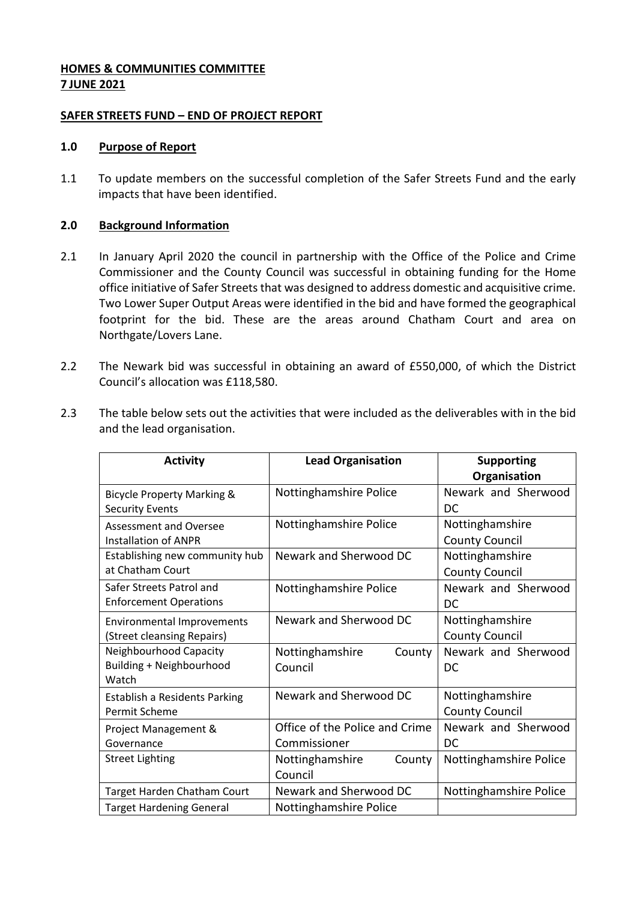### **HOMES & COMMUNITIES COMMITTEE 7 JUNE 2021**

### **SAFER STREETS FUND – END OF PROJECT REPORT**

### **1.0 Purpose of Report**

1.1 To update members on the successful completion of the Safer Streets Fund and the early impacts that have been identified.

### **2.0 Background Information**

- 2.1 In January April 2020 the council in partnership with the Office of the Police and Crime Commissioner and the County Council was successful in obtaining funding for the Home office initiative of Safer Streets that was designed to address domestic and acquisitive crime. Two Lower Super Output Areas were identified in the bid and have formed the geographical footprint for the bid. These are the areas around Chatham Court and area on Northgate/Lovers Lane.
- 2.2 The Newark bid was successful in obtaining an award of £550,000, of which the District Council's allocation was £118,580.
- 2.3 The table below sets out the activities that were included as the deliverables with in the bid and the lead organisation.

| <b>Activity</b>                       | <b>Lead Organisation</b>       | <b>Supporting</b>      |
|---------------------------------------|--------------------------------|------------------------|
|                                       |                                | Organisation           |
| <b>Bicycle Property Marking &amp;</b> | Nottinghamshire Police         | Newark and Sherwood    |
| <b>Security Events</b>                |                                | DC                     |
| <b>Assessment and Oversee</b>         | Nottinghamshire Police         | Nottinghamshire        |
| <b>Installation of ANPR</b>           |                                | <b>County Council</b>  |
| Establishing new community hub        | Newark and Sherwood DC         | Nottinghamshire        |
| at Chatham Court                      |                                | <b>County Council</b>  |
| Safer Streets Patrol and              | Nottinghamshire Police         | Newark and Sherwood    |
| <b>Enforcement Operations</b>         |                                | DC                     |
| <b>Environmental Improvements</b>     | Newark and Sherwood DC         | Nottinghamshire        |
| (Street cleansing Repairs)            |                                | <b>County Council</b>  |
| Neighbourhood Capacity                | Nottinghamshire<br>County      | Newark and Sherwood    |
| Building + Neighbourhood              | Council                        | DC                     |
| Watch                                 |                                |                        |
| <b>Establish a Residents Parking</b>  | Newark and Sherwood DC         | Nottinghamshire        |
| Permit Scheme                         |                                | <b>County Council</b>  |
| Project Management &                  | Office of the Police and Crime | Newark and Sherwood    |
| Governance                            | Commissioner                   | <b>DC</b>              |
| <b>Street Lighting</b>                | Nottinghamshire<br>County      | Nottinghamshire Police |
|                                       | Council                        |                        |
| Target Harden Chatham Court           | Newark and Sherwood DC         | Nottinghamshire Police |
| <b>Target Hardening General</b>       | Nottinghamshire Police         |                        |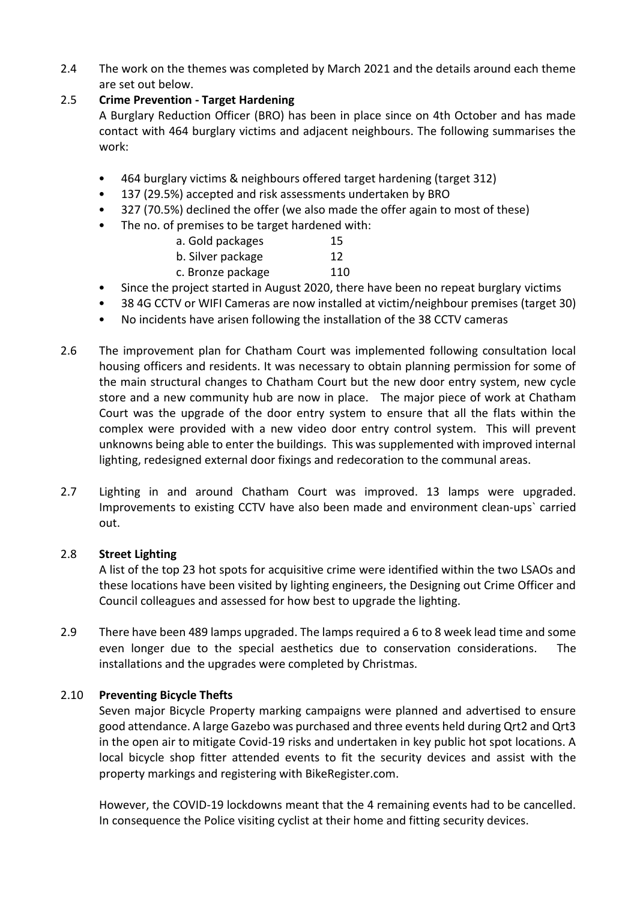2.4 The work on the themes was completed by March 2021 and the details around each theme are set out below.

# 2.5 **Crime Prevention - Target Hardening**

A Burglary Reduction Officer (BRO) has been in place since on 4th October and has made contact with 464 burglary victims and adjacent neighbours. The following summarises the work:

- 464 burglary victims & neighbours offered target hardening (target 312)
- 137 (29.5%) accepted and risk assessments undertaken by BRO
- 327 (70.5%) declined the offer (we also made the offer again to most of these)
- The no. of premises to be target hardened with:

| a. Gold packages  | 15        |
|-------------------|-----------|
| b. Silver package | 12        |
| c. Bronze package | 110       |
| .                 | $ -$<br>. |

- Since the project started in August 2020, there have been no repeat burglary victims
- 38 4G CCTV or WIFI Cameras are now installed at victim/neighbour premises (target 30)
- No incidents have arisen following the installation of the 38 CCTV cameras
- 2.6 The improvement plan for Chatham Court was implemented following consultation local housing officers and residents. It was necessary to obtain planning permission for some of the main structural changes to Chatham Court but the new door entry system, new cycle store and a new community hub are now in place. The major piece of work at Chatham Court was the upgrade of the door entry system to ensure that all the flats within the complex were provided with a new video door entry control system. This will prevent unknowns being able to enter the buildings. This was supplemented with improved internal lighting, redesigned external door fixings and redecoration to the communal areas.
- 2.7 Lighting in and around Chatham Court was improved. 13 lamps were upgraded. Improvements to existing CCTV have also been made and environment clean-ups` carried out.

# 2.8 **Street Lighting**

A list of the top 23 hot spots for acquisitive crime were identified within the two LSAOs and these locations have been visited by lighting engineers, the Designing out Crime Officer and Council colleagues and assessed for how best to upgrade the lighting.

2.9 There have been 489 lamps upgraded. The lamps required a 6 to 8 week lead time and some even longer due to the special aesthetics due to conservation considerations. The installations and the upgrades were completed by Christmas.

# 2.10 **Preventing Bicycle Thefts**

Seven major Bicycle Property marking campaigns were planned and advertised to ensure good attendance. A large Gazebo was purchased and three events held during Qrt2 and Qrt3 in the open air to mitigate Covid-19 risks and undertaken in key public hot spot locations. A local bicycle shop fitter attended events to fit the security devices and assist with the property markings and registering with BikeRegister.com.

However, the COVID-19 lockdowns meant that the 4 remaining events had to be cancelled. In consequence the Police visiting cyclist at their home and fitting security devices.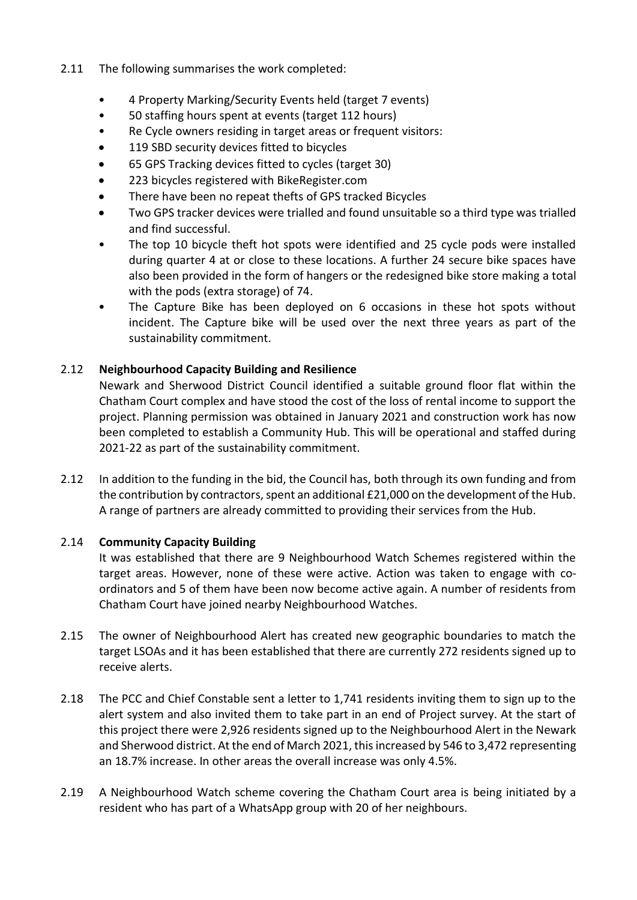- 2.11 The following summarises the work completed:
	- 4 Property Marking/Security Events held (target 7 events)
	- 50 staffing hours spent at events (target 112 hours)
	- Re Cycle owners residing in target areas or frequent visitors:
	- **119 SBD security devices fitted to bicycles**
	- 65 GPS Tracking devices fitted to cycles (target 30)
	- 223 bicycles registered with BikeRegister.com
	- There have been no repeat thefts of GPS tracked Bicycles
	- Two GPS tracker devices were trialled and found unsuitable so a third type was trialled and find successful.
	- The top 10 bicycle theft hot spots were identified and 25 cycle pods were installed during quarter 4 at or close to these locations. A further 24 secure bike spaces have also been provided in the form of hangers or the redesigned bike store making a total with the pods (extra storage) of 74.
	- The Capture Bike has been deployed on 6 occasions in these hot spots without incident. The Capture bike will be used over the next three years as part of the sustainability commitment.

# 2.12 **Neighbourhood Capacity Building and Resilience**

Newark and Sherwood District Council identified a suitable ground floor flat within the Chatham Court complex and have stood the cost of the loss of rental income to support the project. Planning permission was obtained in January 2021 and construction work has now been completed to establish a Community Hub. This will be operational and staffed during 2021-22 as part of the sustainability commitment.

2.12 In addition to the funding in the bid, the Council has, both through its own funding and from the contribution by contractors, spent an additional £21,000 on the development of the Hub. A range of partners are already committed to providing their services from the Hub.

# 2.14 **Community Capacity Building**

It was established that there are 9 Neighbourhood Watch Schemes registered within the target areas. However, none of these were active. Action was taken to engage with coordinators and 5 of them have been now become active again. A number of residents from Chatham Court have joined nearby Neighbourhood Watches.

- 2.15 The owner of Neighbourhood Alert has created new geographic boundaries to match the target LSOAs and it has been established that there are currently 272 residents signed up to receive alerts.
- 2.18 The PCC and Chief Constable sent a letter to 1,741 residents inviting them to sign up to the alert system and also invited them to take part in an end of Project survey. At the start of this project there were 2,926 residents signed up to the Neighbourhood Alert in the Newark and Sherwood district. At the end of March 2021, this increased by 546 to 3,472 representing an 18.7% increase. In other areas the overall increase was only 4.5%.
- 2.19 A Neighbourhood Watch scheme covering the Chatham Court area is being initiated by a resident who has part of a WhatsApp group with 20 of her neighbours.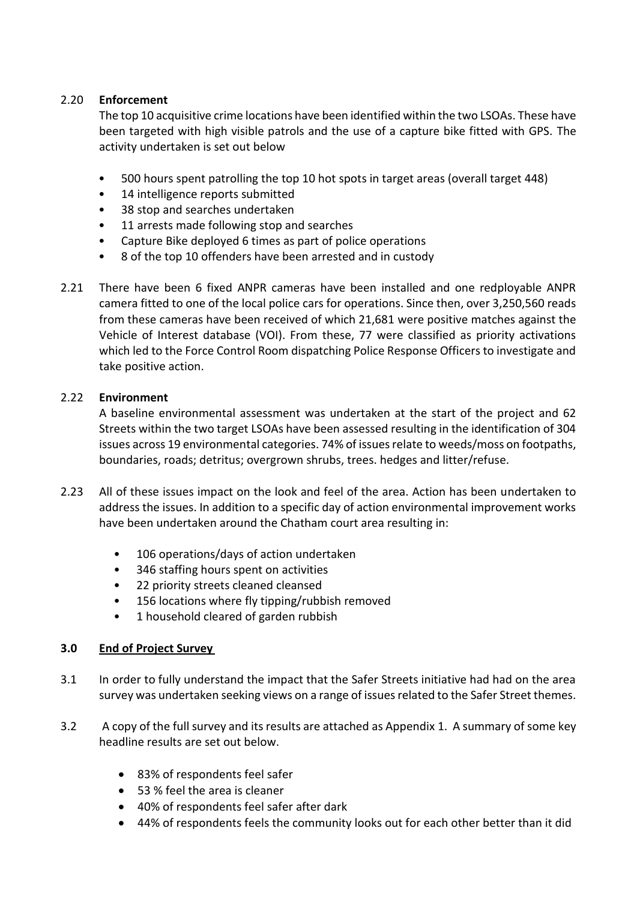# 2.20 **Enforcement**

The top 10 acquisitive crime locations have been identified within the two LSOAs. These have been targeted with high visible patrols and the use of a capture bike fitted with GPS. The activity undertaken is set out below

- 500 hours spent patrolling the top 10 hot spots in target areas (overall target 448)
- 14 intelligence reports submitted
- 38 stop and searches undertaken
- 11 arrests made following stop and searches
- Capture Bike deployed 6 times as part of police operations
- 8 of the top 10 offenders have been arrested and in custody
- 2.21 There have been 6 fixed ANPR cameras have been installed and one redployable ANPR camera fitted to one of the local police cars for operations. Since then, over 3,250,560 reads from these cameras have been received of which 21,681 were positive matches against the Vehicle of Interest database (VOI). From these, 77 were classified as priority activations which led to the Force Control Room dispatching Police Response Officers to investigate and take positive action.

### 2.22 **Environment**

A baseline environmental assessment was undertaken at the start of the project and 62 Streets within the two target LSOAs have been assessed resulting in the identification of 304 issues across 19 environmental categories. 74% of issues relate to weeds/moss on footpaths, boundaries, roads; detritus; overgrown shrubs, trees. hedges and litter/refuse.

- 2.23 All of these issues impact on the look and feel of the area. Action has been undertaken to address the issues. In addition to a specific day of action environmental improvement works have been undertaken around the Chatham court area resulting in:
	- 106 operations/days of action undertaken
	- 346 staffing hours spent on activities
	- 22 priority streets cleaned cleansed
	- 156 locations where fly tipping/rubbish removed
	- 1 household cleared of garden rubbish

# **3.0 End of Project Survey**

- 3.1 In order to fully understand the impact that the Safer Streets initiative had had on the area survey was undertaken seeking views on a range of issues related to the Safer Street themes.
- 3.2 A copy of the full survey and its results are attached as Appendix 1. A summary of some key headline results are set out below.
	- 83% of respondents feel safer
	- 53 % feel the area is cleaner
	- 40% of respondents feel safer after dark
	- 44% of respondents feels the community looks out for each other better than it did